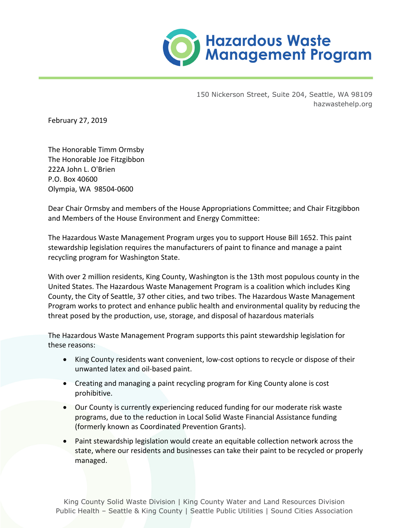

150 Nickerson Street, Suite 204, Seattle, WA 98109 hazwastehelp.org

February 27, 2019

The Honorable Timm Ormsby The Honorable Joe Fitzgibbon 222A John L. O'Brien P.O. Box 40600 Olympia, WA 98504-0600

Dear Chair Ormsby and members of the House Appropriations Committee; and Chair Fitzgibbon and Members of the House Environment and Energy Committee:

The Hazardous Waste Management Program urges you to support House Bill 1652. This paint stewardship legislation requires the manufacturers of paint to finance and manage a paint recycling program for Washington State.

With over 2 million residents, King County, Washington is the 13th most populous county in the United States. The Hazardous Waste Management Program is a coalition which includes King County, the City of Seattle, 37 other cities, and two tribes. The Hazardous Waste Management Program works to protect and enhance public health and environmental quality by reducing the threat posed by the production, use, storage, and disposal of hazardous materials

The Hazardous Waste Management Program supports this paint stewardship legislation for these reasons:

- King County residents want convenient, low-cost options to recycle or dispose of their unwanted latex and oil-based paint.
- Creating and managing a paint recycling program for King County alone is cost prohibitive.
- Our County is currently experiencing reduced funding for our moderate risk waste programs, due to the reduction in Local Solid Waste Financial Assistance funding (formerly known as Coordinated Prevention Grants).
- Paint stewardship legislation would create an equitable collection network across the state, where our residents and businesses can take their paint to be recycled or properly managed.

King County Solid Waste Division | King County Water and Land Resources Division Public Health – Seattle & King County | Seattle Public Utilities | Sound Cities Association